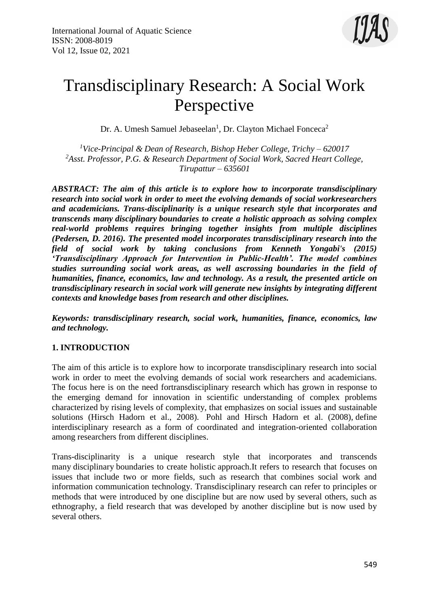

# Transdisciplinary Research: A Social Work Perspective

Dr. A. Umesh Samuel Jebaseelan<sup>1</sup>, Dr. Clayton Michael Fonceca<sup>2</sup>

*<sup>1</sup>Vice-Principal & Dean of Research, Bishop Heber College, Trichy – 620017 <sup>2</sup>Asst. Professor, P.G. & Research Department of Social Work, Sacred Heart College, Tirupattur – 635601*

*ABSTRACT: The aim of this article is to explore how to incorporate transdisciplinary research into social work in order to meet the evolving demands of social workresearchers and academicians. Trans-disciplinarity is a unique research style that incorporates and transcends many disciplinary boundaries to create a holistic approach as solving complex real-world problems requires bringing together insights from multiple disciplines (Pedersen, D. 2016). The presented model incorporates transdisciplinary research into the field of social work by taking conclusions from Kenneth Yongabi's (2015) 'Transdisciplinary Approach for Intervention in Public-Health'. The model combines studies surrounding social work areas, as well ascrossing boundaries in the field of humanities, finance, economics, law and technology. As a result, the presented article on transdisciplinary research in social work will generate new insights by integrating different contexts and knowledge bases from research and other disciplines.* 

*Keywords: transdisciplinary research, social work, humanities, finance, economics, law and technology.*

## **1. INTRODUCTION**

The aim of this article is to explore how to incorporate transdisciplinary research into social work in order to meet the evolving demands of social work researchers and academicians. The focus here is on the need fortransdisciplinary research which has grown in response to the emerging demand for innovation in scientific understanding of complex problems characterized by rising levels of complexity, that emphasizes on social issues and sustainable solutions [\(Hirsch Hadorn et al., 2008\)](https://www.sciencedirect.com/science/article/pii/S001632871830483X#bib0085). [Pohl and Hirsch Hadorn et al. \(2008\),](https://www.sciencedirect.com/science/article/pii/S001632871830483X#bib0175) define interdisciplinary research as a form of coordinated and integration-oriented collaboration among researchers from different disciplines.

Trans-disciplinarity is a unique research style that incorporates and transcends many disciplinary boundaries to create holistic approach.It refers to research that focuses on issues that include two or more fields, such as research that combines social work and information communication technology. Transdisciplinary research can refer to principles or methods that were introduced by one discipline but are now used by several others, such as ethnography, a field research that was developed by another discipline but is now used by several others.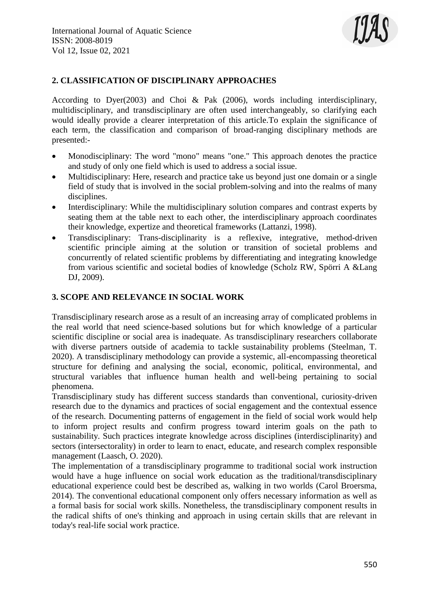

## **2. CLASSIFICATION OF DISCIPLINARY APPROACHES**

According to Dyer(2003) and Choi & Pak (2006), words including interdisciplinary, multidisciplinary, and transdisciplinary are often used interchangeably, so clarifying each would ideally provide a clearer interpretation of this article.To explain the significance of each term, the classification and comparison of broad-ranging disciplinary methods are presented:-

- Monodisciplinary: The word "mono" means "one." This approach denotes the practice and study of only one field which is used to address a social issue.
- Multidisciplinary: Here, research and practice take us beyond just one domain or a single field of study that is involved in the social problem-solving and into the realms of many disciplines.
- Interdisciplinary: While the multidisciplinary solution compares and contrast experts by seating them at the table next to each other, the interdisciplinary approach coordinates their knowledge, expertize and theoretical frameworks (Lattanzi, 1998).
- Transdisciplinary: Trans-disciplinarity is a reflexive, integrative, method-driven scientific principle aiming at the solution or transition of societal problems and concurrently of related scientific problems by differentiating and integrating knowledge from various scientific and societal bodies of knowledge (Scholz RW, Spörri A &Lang DJ, 2009).

#### **3. SCOPE AND RELEVANCE IN SOCIAL WORK**

Transdisciplinary research arose as a result of an increasing array of complicated problems in the real world that need science-based solutions but for which knowledge of a particular scientific discipline or social area is inadequate. As transdisciplinary researchers collaborate with diverse partners outside of academia to tackle sustainability problems (Steelman, T. 2020). A transdisciplinary methodology can provide a systemic, all-encompassing theoretical structure for defining and analysing the social, economic, political, environmental, and structural variables that influence human health and well-being pertaining to social phenomena.

Transdisciplinary study has different success standards than conventional, curiosity-driven research due to the dynamics and practices of social engagement and the contextual essence of the research. Documenting patterns of engagement in the field of social work would help to inform project results and confirm progress toward interim goals on the path to sustainability. Such practices integrate knowledge across disciplines (interdisciplinarity) and sectors (intersectorality) in order to learn to enact, educate, and research complex responsible management (Laasch, O. 2020).

The implementation of a transdisciplinary programme to traditional social work instruction would have a huge influence on social work education as the traditional/transdisciplinary educational experience could best be described as, walking in two worlds (Carol Broersma, 2014). The conventional educational component only offers necessary information as well as a formal basis for social work skills. Nonetheless, the transdisciplinary component results in the radical shifts of one's thinking and approach in using certain skills that are relevant in today's real-life social work practice.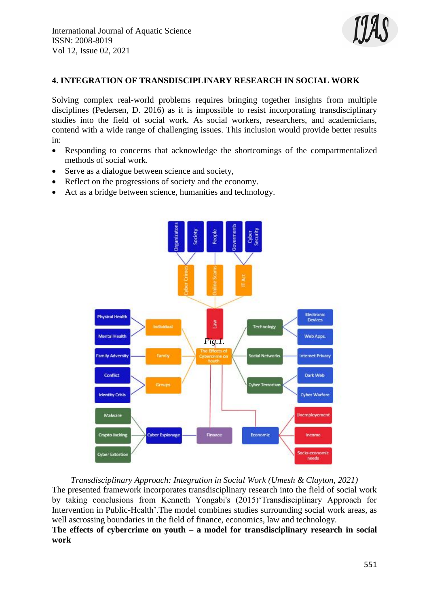

### **4. INTEGRATION OF TRANSDISCIPLINARY RESEARCH IN SOCIAL WORK**

Solving complex real-world problems requires bringing together insights from multiple disciplines (Pedersen, D. 2016) as it is impossible to resist incorporating transdisciplinary studies into the field of social work. As social workers, researchers, and academicians, contend with a wide range of challenging issues. This inclusion would provide better results in:

- Responding to concerns that acknowledge the shortcomings of the compartmentalized methods of social work.
- Serve as a dialogue between science and society,
- Reflect on the progressions of society and the economy.
- Act as a bridge between science, humanities and technology.



*Transdisciplinary Approach: Integration in Social Work (Umesh & Clayton, 2021)* The presented framework incorporates transdisciplinary research into the field of social work by taking conclusions from Kenneth Yongabi's (2015)'Transdisciplinary Approach for Intervention in Public-Health'.The model combines studies surrounding social work areas, as well ascrossing boundaries in the field of finance, economics, law and technology. **The effects of cybercrime on youth – a model for transdisciplinary research in social work**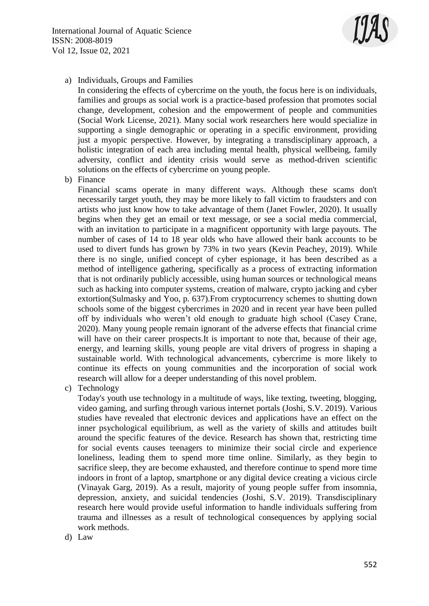International Journal of Aquatic Science ISSN: 2008-8019 Vol 12, Issue 02, 2021



a) Individuals, Groups and Families

In considering the effects of cybercrime on the youth, the focus here is on individuals, families and groups as social work is a practice-based profession that promotes social change, development, cohesion and the empowerment of people and communities (Social Work License, 2021). Many social work researchers here would specialize in supporting a single demographic or operating in a specific environment, providing just a myopic perspective. However, by integrating a transdisciplinary approach, a holistic integration of each area including mental health, physical wellbeing, family adversity, conflict and identity crisis would serve as method-driven scientific solutions on the effects of cybercrime on young people.

b) Finance

Financial scams operate in many different ways. Although these scams don't necessarily target youth, they may be more likely to fall victim to fraudsters and con artists who just know how to take advantage of them (Janet Fowler, 2020). It usually begins when they get an email or text message, or see a social media commercial, with an invitation to participate in a magnificent opportunity with large payouts. The number of cases of 14 to 18 year olds who have allowed their bank accounts to be used to divert funds has grown by 73% in two years (Kevin Peachey, 2019). While there is no single, unified concept of cyber espionage, it has been described as a method of intelligence gathering, specifically as a process of extracting information that is not ordinarily publicly accessible, using human sources or technological means such as hacking into computer systems, creation of malware, crypto jacking and cyber extortion(Sulmasky and Yoo, p. 637).From cryptocurrency schemes to shutting down schools some of the biggest cybercrimes in 2020 and in recent year have been pulled off by individuals who weren't old enough to graduate high school (Casey Crane, 2020). Many young people remain ignorant of the adverse effects that financial crime will have on their career prospects.It is important to note that, because of their age, energy, and learning skills, young people are vital drivers of progress in shaping a sustainable world. With technological advancements, cybercrime is more likely to continue its effects on young communities and the incorporation of social work research will allow for a deeper understanding of this novel problem.

c) Technology

Today's youth use technology in a multitude of ways, like texting, tweeting, blogging, video gaming, and surfing through various internet portals (Joshi, S.V. 2019). Various studies have revealed that electronic devices and applications have an effect on the inner psychological equilibrium, as well as the variety of skills and attitudes built around the specific features of the device. Research has shown that, restricting time for social events causes teenagers to minimize their social circle and experience loneliness, leading them to spend more time online. Similarly, as they begin to sacrifice sleep, they are become exhausted, and therefore continue to spend more time indoors in front of a laptop, smartphone or any digital device creating a vicious circle (Vinayak Garg, 2019). As a result, majority of young people suffer from insomnia, depression, anxiety, and suicidal tendencies (Joshi, S.V. 2019). Transdisciplinary research here would provide useful information to handle individuals suffering from trauma and illnesses as a result of technological consequences by applying social work methods.

d) Law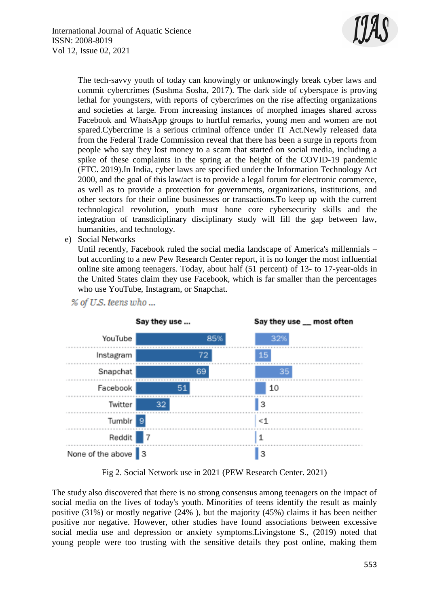

The tech-savvy youth of today can knowingly or unknowingly break cyber laws and commit cybercrimes (Sushma Sosha, 2017). The dark side of cyberspace is proving lethal for youngsters, with reports of cybercrimes on the rise affecting organizations and societies at large. From increasing instances of morphed images shared across Facebook and WhatsApp groups to hurtful remarks, young men and women are not spared.Cybercrime is a serious criminal offence under IT Act.Newly released data from the Federal Trade Commission reveal that there has been a surge in reports from people who say they lost money to a scam that started on social media, including a spike of these complaints in the spring at the height of the COVID-19 pandemic (FTC. 2019).In India, cyber laws are specified under the Information Technology Act 2000, and the goal of this law/act is to provide a legal forum for electronic commerce, as well as to provide a protection for governments, organizations, institutions, and other sectors for their online businesses or transactions.To keep up with the current technological revolution, youth must hone core cybersecurity skills and the integration of transdiciplinary disciplinary study will fill the gap between law, humanities, and technology.

e) Social Networks

Until recently, Facebook ruled the social media landscape of America's millennials – but according to a new Pew Research Center report, it is no longer the most influential online site among teenagers. Today, about half (51 percent) of 13- to 17-year-olds in the United States claim they use Facebook, which is far smaller than the percentages who use YouTube, Instagram, or Snapchat.



% of U.S. teens who ...

Fig 2. Social Network use in 2021 (PEW Research Center. 2021)

The study also discovered that there is no strong consensus among teenagers on the impact of social media on the lives of today's youth. Minorities of teens identify the result as mainly positive (31%) or mostly negative (24% ), but the majority (45%) claims it has been neither positive nor negative. However, other studies have found associations between excessive social media use and depression or anxiety symptoms.Livingstone S., (2019) noted that young people were too trusting with the sensitive details they post online, making them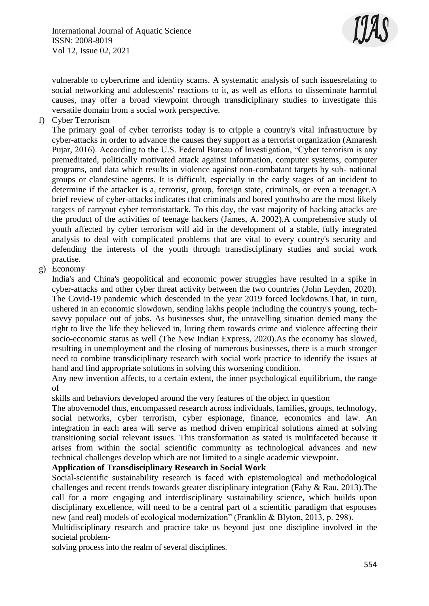

vulnerable to cybercrime and identity scams. A systematic analysis of such issuesrelating to social networking and adolescents' reactions to it, as well as efforts to disseminate harmful causes, may offer a broad viewpoint through transdiciplinary studies to investigate this versatile domain from a social work perspective.

f) Cyber Terrorism

The primary goal of cyber terrorists today is to cripple a country's vital infrastructure by cyber-attacks in order to advance the causes they support as a terrorist organization (Amaresh Pujar, 2016). According to the U.S. Federal Bureau of Investigation, "Cyber terrorism is any premeditated, politically motivated attack against information, computer systems, computer programs, and data which results in violence against non-combatant targets by sub- national groups or clandestine agents. It is difficult, especially in the early stages of an incident to determine if the attacker is a, terrorist, group, foreign state, criminals, or even a teenager.A brief review of cyber-attacks indicates that criminals and bored youthwho are the most likely targets of carryout cyber terroristattack. To this day, the vast majority of hacking attacks are the product of the activities of teenage hackers (James, A. 2002).A comprehensive study of youth affected by cyber terrorism will aid in the development of a stable, fully integrated analysis to deal with complicated problems that are vital to every country's security and defending the interests of the youth through transdisciplinary studies and social work practise.

g) Economy

India's and China's geopolitical and economic power struggles have resulted in a spike in cyber-attacks and other cyber threat activity between the two countries (John Leyden, 2020). The Covid-19 pandemic which descended in the year 2019 forced lockdowns.That, in turn, ushered in an economic slowdown, sending lakhs people including the country's young, techsavvy populace out of jobs. As businesses shut, the unravelling situation denied many the right to live the life they believed in, luring them towards crime and violence affecting their socio-economic status as well (The New Indian Express, 2020).As the economy has slowed, resulting in unemployment and the closing of numerous businesses, there is a much stronger need to combine transdiciplinary research with social work practice to identify the issues at hand and find appropriate solutions in solving this worsening condition.

Any new invention affects, to a certain extent, the inner psychological equilibrium, the range of

skills and behaviors developed around the very features of the object in question

The abovemodel thus, encompassed research across individuals, families, groups, technology, social networks, cyber terrorism, cyber espionage, finance, economics and law. An integration in each area will serve as method driven empirical solutions aimed at solving transitioning social relevant issues. This transformation as stated is multifaceted because it arises from within the social scientific community as technological advances and new technical challenges develop which are not limited to a single academic viewpoint.

#### **Application of Transdisciplinary Research in Social Work**

Social-scientific sustainability research is faced with epistemological and methodological challenges and recent trends towards greater disciplinary integration (Fahy & Rau, 2013).The call for a more engaging and interdisciplinary sustainability science, which builds upon disciplinary excellence, will need to be a central part of a scientific paradigm that espouses new (and real) models of ecological modernization" (Franklin & Blyton, 2013, p. 298).

Multidisciplinary research and practice take us beyond just one discipline involved in the societal problem-

solving process into the realm of several disciplines.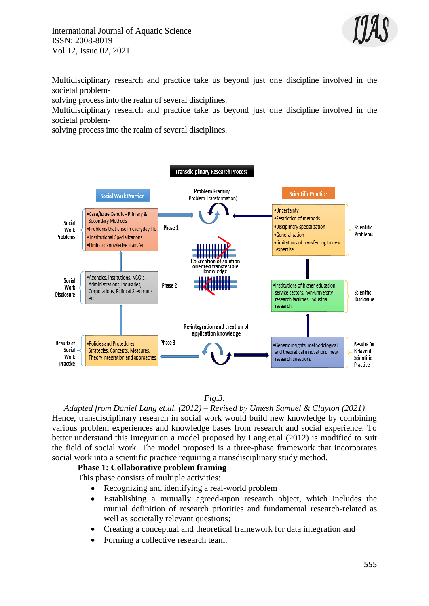International Journal of Aquatic Science ISSN: 2008-8019 Vol 12, Issue 02, 2021



Multidisciplinary research and practice take us beyond just one discipline involved in the societal problem-

solving process into the realm of several disciplines.

Multidisciplinary research and practice take us beyond just one discipline involved in the societal problem-

solving process into the realm of several disciplines.



#### *Fig.3.*

*Adapted from Daniel Lang et.al. (2012) – Revised by Umesh Samuel & Clayton (2021)* Hence, transdisciplinary research in social work would build new knowledge by combining various problem experiences and knowledge bases from research and social experience. To better understand this integration a model proposed by Lang.et.al (2012) is modified to suit the field of social work. The model proposed is a three-phase framework that incorporates social work into a scientific practice requiring a transdisciplinary study method.

#### **Phase 1: Collaborative problem framing**

This phase consists of multiple activities:

- Recognizing and identifying a real-world problem
- Establishing a mutually agreed-upon research object, which includes the mutual definition of research priorities and fundamental research-related as well as societally relevant questions;
- Creating a conceptual and theoretical framework for data integration and
- Forming a collective research team.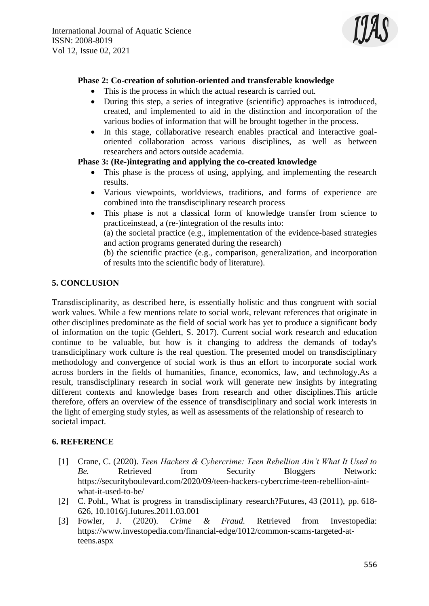

#### **Phase 2: Co-creation of solution-oriented and transferable knowledge**

- This is the process in which the actual research is carried out.
- During this step, a series of integrative (scientific) approaches is introduced, created, and implemented to aid in the distinction and incorporation of the various bodies of information that will be brought together in the process.
- In this stage, collaborative research enables practical and interactive goaloriented collaboration across various disciplines, as well as between researchers and actors outside academia.

## **Phase 3: (Re-)integrating and applying the co-created knowledge**

- This phase is the process of using, applying, and implementing the research results.
- Various viewpoints, worldviews, traditions, and forms of experience are combined into the transdisciplinary research process
- This phase is not a classical form of knowledge transfer from science to practiceinstead, a (re-)integration of the results into:

(a) the societal practice (e.g., implementation of the evidence-based strategies and action programs generated during the research)

(b) the scientific practice (e.g., comparison, generalization, and incorporation of results into the scientific body of literature).

## **5. CONCLUSION**

Transdisciplinarity, as described here, is essentially holistic and thus congruent with social work values. While a few mentions relate to social work, relevant references that originate in other disciplines predominate as the field of social work has yet to produce a significant body of information on the topic (Gehlert, S. 2017). Current social work research and education continue to be valuable, but how is it changing to address the demands of today's transdiciplinary work culture is the real question. The presented model on transdisciplinary methodology and convergence of social work is thus an effort to incorporate social work across borders in the fields of humanities, finance, economics, law, and technology.As a result, transdisciplinary research in social work will generate new insights by integrating different contexts and knowledge bases from research and other disciplines.This article therefore, offers an overview of the essence of transdisciplinary and social work interests in the light of emerging study styles, as well as assessments of the relationship of research to societal impact.

## **6. REFERENCE**

- [1] Crane, C. (2020). *Teen Hackers & Cybercrime: Teen Rebellion Ain't What It Used to Be.* Retrieved from Security Bloggers Network: https://securityboulevard.com/2020/09/teen-hackers-cybercrime-teen-rebellion-aintwhat-it-used-to-be/
- [2] C. Pohl., What is progress in transdisciplinary research? Futures, 43 (2011), pp. 618-626, [10.1016/j.futures.2011.03.001](https://doi.org/10.1016/j.futures.2011.03.001)
- [3] Fowler, J. (2020). *Crime & Fraud.* Retrieved from Investopedia: https://www.investopedia.com/financial-edge/1012/common-scams-targeted-atteens.aspx